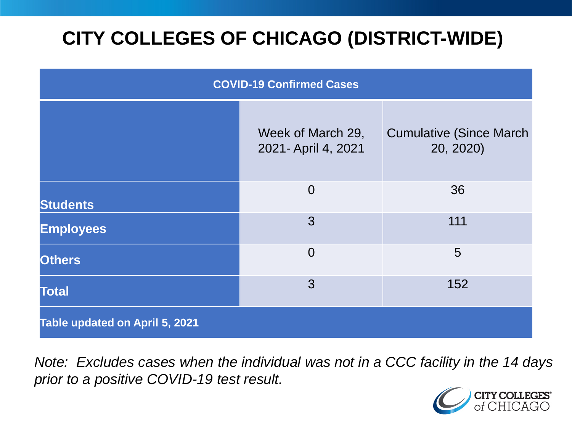# **CITY COLLEGES OF CHICAGO (DISTRICT-WIDE)**

| <b>COVID-19 Confirmed Cases</b> |                                           |                                              |
|---------------------------------|-------------------------------------------|----------------------------------------------|
|                                 | Week of March 29,<br>2021 - April 4, 2021 | <b>Cumulative (Since March)</b><br>20, 2020) |
| <b>Students</b>                 | $\overline{0}$                            | 36                                           |
| <b>Employees</b>                | 3                                         | 111                                          |
| <b>Others</b>                   | $\overline{0}$                            | 5                                            |
| <b>Total</b>                    | 3                                         | 152                                          |
| Table updated on April 5, 2021  |                                           |                                              |

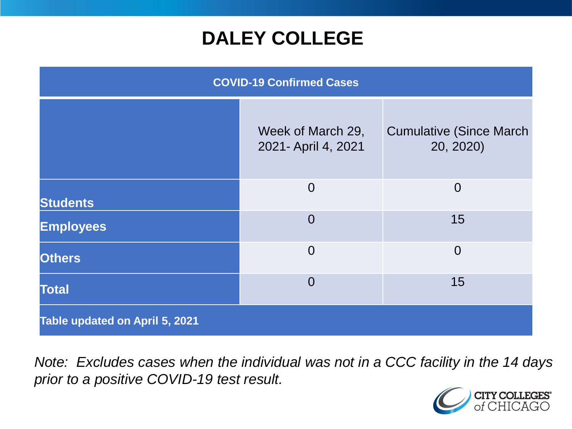### **DALEY COLLEGE**

| <b>COVID-19 Confirmed Cases</b> |                                           |                                              |
|---------------------------------|-------------------------------------------|----------------------------------------------|
|                                 | Week of March 29,<br>2021 - April 4, 2021 | <b>Cumulative (Since March)</b><br>20, 2020) |
| <b>Students</b>                 | $\overline{0}$                            | $\overline{0}$                               |
| <b>Employees</b>                | $\overline{0}$                            | 15                                           |
| <b>Others</b>                   | $\overline{0}$                            | $\overline{0}$                               |
| <b>Total</b>                    | $\overline{0}$                            | 15                                           |
| Table updated on April 5, 2021  |                                           |                                              |

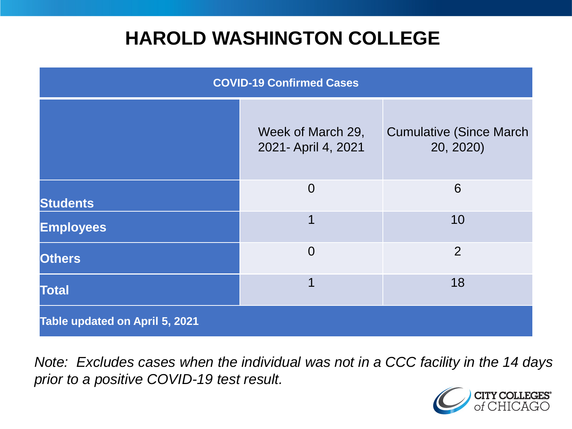### **HAROLD WASHINGTON COLLEGE**

| <b>COVID-19 Confirmed Cases</b> |                                          |                                              |
|---------------------------------|------------------------------------------|----------------------------------------------|
|                                 | Week of March 29,<br>2021- April 4, 2021 | <b>Cumulative (Since March)</b><br>20, 2020) |
| <b>Students</b>                 | $\overline{0}$                           | 6                                            |
| <b>Employees</b>                | 1                                        | 10                                           |
| <b>Others</b>                   | $\overline{0}$                           | $\overline{2}$                               |
| <b>Total</b>                    | 1                                        | 18                                           |
| Table updated on April 5, 2021  |                                          |                                              |

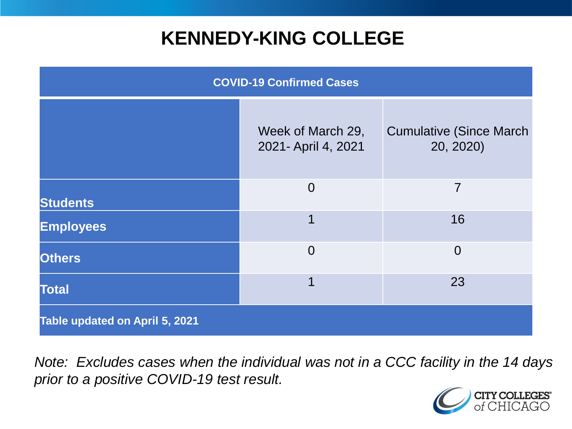### **KENNEDY-KING COLLEGE**

| <b>COVID-19 Confirmed Cases</b> |                                           |                                              |
|---------------------------------|-------------------------------------------|----------------------------------------------|
|                                 | Week of March 29,<br>2021 - April 4, 2021 | <b>Cumulative (Since March)</b><br>20, 2020) |
| <b>Students</b>                 | $\overline{0}$                            | 7                                            |
| <b>Employees</b>                | 1                                         | 16                                           |
| <b>Others</b>                   | $\overline{0}$                            | $\overline{0}$                               |
| <b>Total</b>                    | 1                                         | 23                                           |
| Table updated on April 5, 2021  |                                           |                                              |

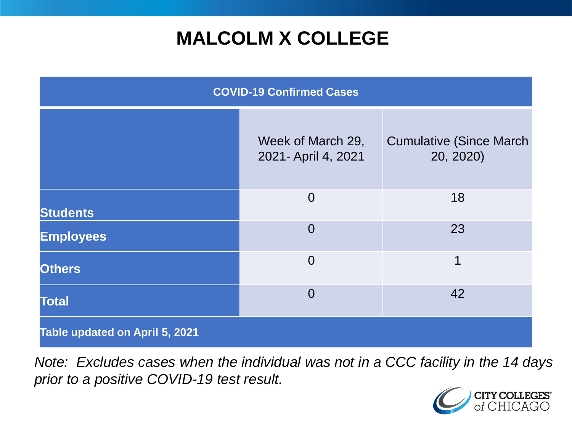# **MALCOLM X COLLEGE**

| <b>COVID-19 Confirmed Cases</b> |                                          |                                              |
|---------------------------------|------------------------------------------|----------------------------------------------|
|                                 | Week of March 29,<br>2021- April 4, 2021 | <b>Cumulative (Since March)</b><br>20, 2020) |
| <b>Students</b>                 | $\overline{0}$                           | 18                                           |
| <b>Employees</b>                | $\overline{0}$                           | 23                                           |
| <b>Others</b>                   | $\overline{0}$                           | 1                                            |
| <b>Total</b>                    | $\overline{0}$                           | 42                                           |
| Table updated on April 5, 2021  |                                          |                                              |

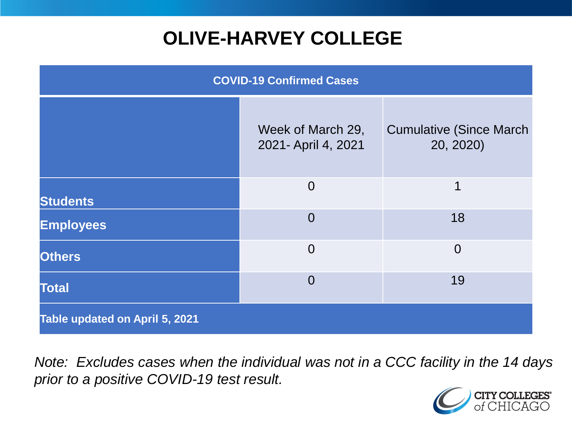# **OLIVE-HARVEY COLLEGE**

| <b>COVID-19 Confirmed Cases</b> |                                           |                                              |
|---------------------------------|-------------------------------------------|----------------------------------------------|
|                                 | Week of March 29,<br>2021 - April 4, 2021 | <b>Cumulative (Since March)</b><br>20, 2020) |
| <b>Students</b>                 | $\overline{0}$                            | 1                                            |
| <b>Employees</b>                | $\overline{0}$                            | 18                                           |
| <b>Others</b>                   | $\overline{0}$                            | $\overline{0}$                               |
| <b>Total</b>                    | $\overline{0}$                            | 19                                           |
| Table updated on April 5, 2021  |                                           |                                              |

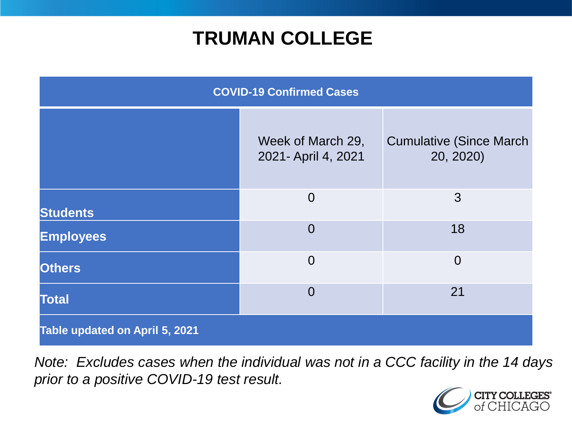### **TRUMAN COLLEGE**

| <b>COVID-19 Confirmed Cases</b> |                                          |                                              |
|---------------------------------|------------------------------------------|----------------------------------------------|
|                                 | Week of March 29,<br>2021- April 4, 2021 | <b>Cumulative (Since March)</b><br>20, 2020) |
| <b>Students</b>                 | $\overline{0}$                           | 3                                            |
| <b>Employees</b>                | $\overline{0}$                           | 18                                           |
| <b>Others</b>                   | $\overline{0}$                           | $\overline{0}$                               |
| <b>Total</b>                    | $\overline{0}$                           | 21                                           |
| Table updated on April 5, 2021  |                                          |                                              |

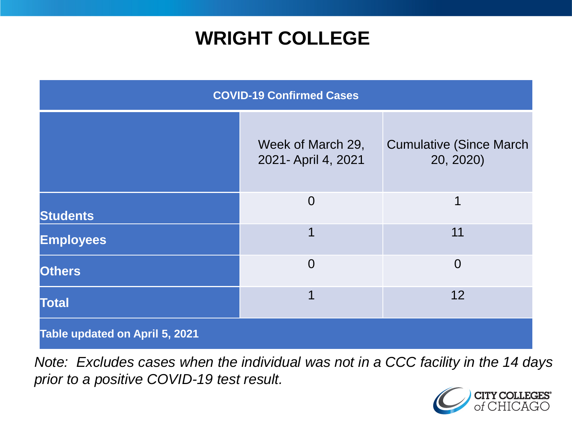### **WRIGHT COLLEGE**

| <b>COVID-19 Confirmed Cases</b> |                                          |                                              |
|---------------------------------|------------------------------------------|----------------------------------------------|
|                                 | Week of March 29,<br>2021- April 4, 2021 | <b>Cumulative (Since March)</b><br>20, 2020) |
| <b>Students</b>                 | $\overline{0}$                           | 1                                            |
| <b>Employees</b>                | 1                                        | 11                                           |
| <b>Others</b>                   | $\overline{0}$                           | $\overline{0}$                               |
| <b>Total</b>                    | 1                                        | 12                                           |
| Table updated on April 5, 2021  |                                          |                                              |